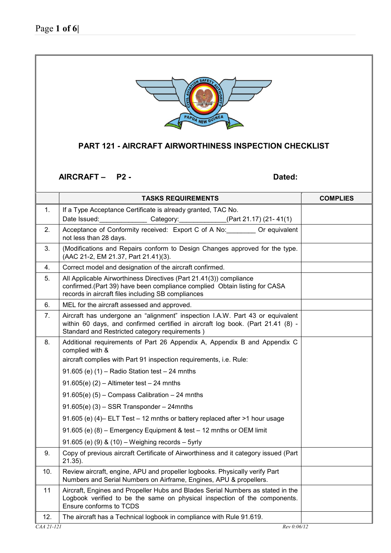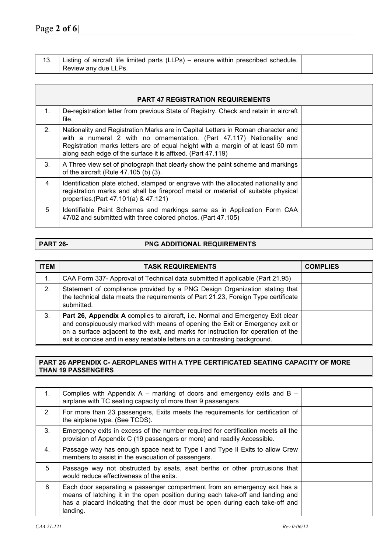| 13. | Listing of aircraft life limited parts (LLPs) – ensure within prescribed schedule. |  |
|-----|------------------------------------------------------------------------------------|--|
|     | Review any due LLPs.                                                               |  |

|                | <b>PART 47 REGISTRATION REQUIREMENTS</b>                                                                                                                                                                                                                                                                   |  |
|----------------|------------------------------------------------------------------------------------------------------------------------------------------------------------------------------------------------------------------------------------------------------------------------------------------------------------|--|
| $\mathbf{1}$ . | De-registration letter from previous State of Registry. Check and retain in aircraft<br>file.                                                                                                                                                                                                              |  |
| 2 <sub>1</sub> | Nationality and Registration Marks are in Capital Letters in Roman character and<br>with a numeral 2 with no ornamentation. (Part 47.117) Nationality and<br>Registration marks letters are of equal height with a margin of at least 50 mm<br>along each edge of the surface it is affixed. (Part 47.119) |  |
| 3 <sub>1</sub> | A Three view set of photograph that clearly show the paint scheme and markings<br>of the aircraft (Rule 47.105 (b) (3).                                                                                                                                                                                    |  |
| 4              | Identification plate etched, stamped or engrave with the allocated nationality and<br>registration marks and shall be fireproof metal or material of suitable physical<br>properties.(Part 47.101(a) & 47.121)                                                                                             |  |
| 5              | Identifiable Paint Schemes and markings same as in Application Form CAA<br>47/02 and submitted with three colored photos. (Part 47.105)                                                                                                                                                                    |  |

## **PART 26-** PNG ADDITIONAL REQUIREMENTS

| <b>ITEM</b> | <b>TASK REQUIREMENTS</b>                                                                                                                                                                                                                                                                                                                | <b>COMPLIES</b> |
|-------------|-----------------------------------------------------------------------------------------------------------------------------------------------------------------------------------------------------------------------------------------------------------------------------------------------------------------------------------------|-----------------|
| 1.          | CAA Form 337- Approval of Technical data submitted if applicable (Part 21.95)                                                                                                                                                                                                                                                           |                 |
| 2.          | Statement of compliance provided by a PNG Design Organization stating that<br>the technical data meets the requirements of Part 21.23, Foreign Type certificate<br>submitted.                                                                                                                                                           |                 |
| 3.          | <b>Part 26, Appendix A</b> complies to aircraft, i.e. Normal and Emergency Exit clear<br>and conspicuously marked with means of opening the Exit or Emergency exit or<br>on a surface adjacent to the exit, and marks for instruction for operation of the<br>exit is concise and in easy readable letters on a contrasting background. |                 |

### **PART 26 APPENDIX C- AEROPLANES WITH A TYPE CERTIFICATED SEATING CAPACITY OF MORE THAN 19 PASSENGERS**

| 1. | Complies with Appendix A – marking of doors and emergency exits and B –<br>airplane with TC seating capacity of more than 9 passengers                                                                                                                  |  |
|----|---------------------------------------------------------------------------------------------------------------------------------------------------------------------------------------------------------------------------------------------------------|--|
| 2. | For more than 23 passengers, Exits meets the requirements for certification of<br>the airplane type. (See TCDS).                                                                                                                                        |  |
| 3. | Emergency exits in excess of the number required for certification meets all the<br>provision of Appendix C (19 passengers or more) and readily Accessible.                                                                                             |  |
| 4. | Passage way has enough space next to Type I and Type II Exits to allow Crew<br>members to assist in the evacuation of passengers.                                                                                                                       |  |
| 5  | Passage way not obstructed by seats, seat berths or other protrusions that<br>would reduce effectiveness of the exits.                                                                                                                                  |  |
| 6  | Each door separating a passenger compartment from an emergency exit has a<br>means of latching it in the open position during each take-off and landing and<br>has a placard indicating that the door must be open during each take-off and<br>landing. |  |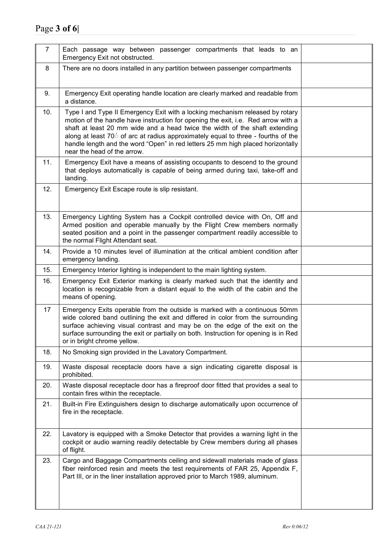| $\overline{7}$ | Each passage way between passenger compartments that leads to an<br>Emergency Exit not obstructed.                                                                                                                                                                                                                                                                                                                                                       |  |
|----------------|----------------------------------------------------------------------------------------------------------------------------------------------------------------------------------------------------------------------------------------------------------------------------------------------------------------------------------------------------------------------------------------------------------------------------------------------------------|--|
| 8              | There are no doors installed in any partition between passenger compartments                                                                                                                                                                                                                                                                                                                                                                             |  |
| 9.             | Emergency Exit operating handle location are clearly marked and readable from<br>a distance.                                                                                                                                                                                                                                                                                                                                                             |  |
| 10.            | Type I and Type II Emergency Exit with a locking mechanism released by rotary<br>motion of the handle have instruction for opening the exit, i.e. Red arrow with a<br>shaft at least 20 mm wide and a head twice the width of the shaft extending<br>along at least 70° of arc at radius approximately equal to three - fourths of the<br>handle length and the word "Open" in red letters 25 mm high placed horizontally<br>near the head of the arrow. |  |
| 11.            | Emergency Exit have a means of assisting occupants to descend to the ground<br>that deploys automatically is capable of being armed during taxi, take-off and<br>landing.                                                                                                                                                                                                                                                                                |  |
| 12.            | Emergency Exit Escape route is slip resistant.                                                                                                                                                                                                                                                                                                                                                                                                           |  |
| 13.            | Emergency Lighting System has a Cockpit controlled device with On, Off and<br>Armed position and operable manually by the Flight Crew members normally<br>seated position and a point in the passenger compartment readily accessible to<br>the normal Flight Attendant seat.                                                                                                                                                                            |  |
| 14.            | Provide a 10 minutes level of illumination at the critical ambient condition after<br>emergency landing.                                                                                                                                                                                                                                                                                                                                                 |  |
| 15.            | Emergency Interior lighting is independent to the main lighting system.                                                                                                                                                                                                                                                                                                                                                                                  |  |
| 16.            | Emergency Exit Exterior marking is clearly marked such that the identity and<br>location is recognizable from a distant equal to the width of the cabin and the<br>means of opening.                                                                                                                                                                                                                                                                     |  |
| 17             | Emergency Exits operable from the outside is marked with a continuous 50mm<br>wide colored band outlining the exit and differed in color from the surrounding<br>surface achieving visual contrast and may be on the edge of the exit on the<br>surface surrounding the exit or partially on both. Instruction for opening is in Red<br>or in bright chrome yellow.                                                                                      |  |
| 18.            | No Smoking sign provided in the Lavatory Compartment.                                                                                                                                                                                                                                                                                                                                                                                                    |  |
| 19.            | Waste disposal receptacle doors have a sign indicating cigarette disposal is<br>prohibited.                                                                                                                                                                                                                                                                                                                                                              |  |
| 20.            | Waste disposal receptacle door has a fireproof door fitted that provides a seal to<br>contain fires within the receptacle.                                                                                                                                                                                                                                                                                                                               |  |
| 21.            | Built-in Fire Extinguishers design to discharge automatically upon occurrence of<br>fire in the receptacle.                                                                                                                                                                                                                                                                                                                                              |  |
| 22.            | Lavatory is equipped with a Smoke Detector that provides a warning light in the<br>cockpit or audio warning readily detectable by Crew members during all phases<br>of flight.                                                                                                                                                                                                                                                                           |  |
| 23.            | Cargo and Baggage Compartments ceiling and sidewall materials made of glass<br>fiber reinforced resin and meets the test requirements of FAR 25, Appendix F,<br>Part III, or in the liner installation approved prior to March 1989, aluminum.                                                                                                                                                                                                           |  |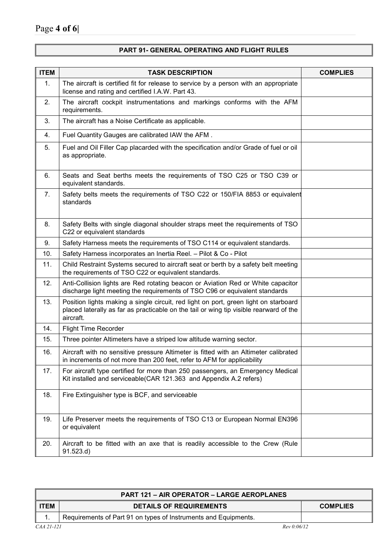# **PART 91- GENERAL OPERATING AND FLIGHT RULES**

| <b>ITEM</b> | <b>TASK DESCRIPTION</b>                                                                                                                                                                     | <b>COMPLIES</b> |
|-------------|---------------------------------------------------------------------------------------------------------------------------------------------------------------------------------------------|-----------------|
| 1.          | The aircraft is certified fit for release to service by a person with an appropriate<br>license and rating and certified I.A.W. Part 43.                                                    |                 |
| 2.          | The aircraft cockpit instrumentations and markings conforms with the AFM<br>requirements.                                                                                                   |                 |
| 3.          | The aircraft has a Noise Certificate as applicable.                                                                                                                                         |                 |
| 4.          | Fuel Quantity Gauges are calibrated IAW the AFM.                                                                                                                                            |                 |
| 5.          | Fuel and Oil Filler Cap placarded with the specification and/or Grade of fuel or oil<br>as appropriate.                                                                                     |                 |
| 6.          | Seats and Seat berths meets the requirements of TSO C25 or TSO C39 or<br>equivalent standards.                                                                                              |                 |
| 7.          | Safety belts meets the requirements of TSO C22 or 150/FIA 8853 or equivalent<br>standards                                                                                                   |                 |
| 8.          | Safety Belts with single diagonal shoulder straps meet the requirements of TSO<br>C22 or equivalent standards                                                                               |                 |
| 9.          | Safety Harness meets the requirements of TSO C114 or equivalent standards.                                                                                                                  |                 |
| 10.         | Safety Harness incorporates an Inertia Reel. - Pilot & Co - Pilot                                                                                                                           |                 |
| 11.         | Child Restraint Systems secured to aircraft seat or berth by a safety belt meeting<br>the requirements of TSO C22 or equivalent standards.                                                  |                 |
| 12.         | Anti-Collision lights are Red rotating beacon or Aviation Red or White capacitor<br>discharge light meeting the requirements of TSO C96 or equivalent standards                             |                 |
| 13.         | Position lights making a single circuit, red light on port, green light on starboard<br>placed laterally as far as practicable on the tail or wing tip visible rearward of the<br>aircraft. |                 |
| 14.         | <b>Flight Time Recorder</b>                                                                                                                                                                 |                 |
| 15.         | Three pointer Altimeters have a striped low altitude warning sector.                                                                                                                        |                 |
| 16.         | Aircraft with no sensitive pressure Altimeter is fitted with an Altimeter calibrated<br>in increments of not more than 200 feet, refer to AFM for applicability                             |                 |
| 17.         | For aircraft type certified for more than 250 passengers, an Emergency Medical<br>Kit installed and serviceable(CAR 121.363 and Appendix A.2 refers)                                        |                 |
| 18.         | Fire Extinguisher type is BCF, and serviceable                                                                                                                                              |                 |
| 19.         | Life Preserver meets the requirements of TSO C13 or European Normal EN396<br>or equivalent                                                                                                  |                 |
| 20.         | Aircraft to be fitted with an axe that is readily accessible to the Crew (Rule<br>91.523.d)                                                                                                 |                 |

| <b>PART 121 - AIR OPERATOR - LARGE AEROPLANES</b> |                                                                 |                 |
|---------------------------------------------------|-----------------------------------------------------------------|-----------------|
| <b>ITEM</b>                                       | <b>DETAILS OF REQUIREMENTS</b>                                  | <b>COMPLIES</b> |
|                                                   | Requirements of Part 91 on types of Instruments and Equipments. |                 |
| CAA 21-121<br>Rev 0:06/12                         |                                                                 |                 |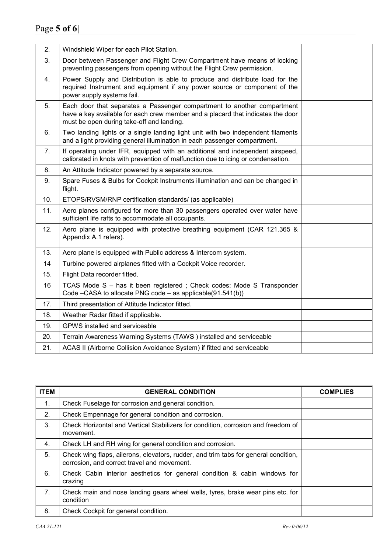| 2.             | Windshield Wiper for each Pilot Station.                                                                                                                                                                |  |
|----------------|---------------------------------------------------------------------------------------------------------------------------------------------------------------------------------------------------------|--|
| 3.             | Door between Passenger and Flight Crew Compartment have means of locking<br>preventing passengers from opening without the Flight Crew permission.                                                      |  |
| 4.             | Power Supply and Distribution is able to produce and distribute load for the<br>required Instrument and equipment if any power source or component of the<br>power supply systems fail.                 |  |
| 5.             | Each door that separates a Passenger compartment to another compartment<br>have a key available for each crew member and a placard that indicates the door<br>must be open during take-off and landing. |  |
| 6.             | Two landing lights or a single landing light unit with two independent filaments<br>and a light providing general illumination in each passenger compartment.                                           |  |
| 7 <sub>1</sub> | If operating under IFR, equipped with an additional and independent airspeed,<br>calibrated in knots with prevention of malfunction due to icing or condensation.                                       |  |
| 8.             | An Attitude Indicator powered by a separate source.                                                                                                                                                     |  |
| 9.             | Spare Fuses & Bulbs for Cockpit Instruments illumination and can be changed in<br>flight.                                                                                                               |  |
| 10.            | ETOPS/RVSM/RNP certification standards/ (as applicable)                                                                                                                                                 |  |
| 11.            | Aero planes configured for more than 30 passengers operated over water have<br>sufficient life rafts to accommodate all occupants.                                                                      |  |
| 12.            | Aero plane is equipped with protective breathing equipment (CAR 121.365 &<br>Appendix A.1 refers).                                                                                                      |  |
| 13.            | Aero plane is equipped with Public address & Intercom system.                                                                                                                                           |  |
| 14             | Turbine powered airplanes fitted with a Cockpit Voice recorder.                                                                                                                                         |  |
| 15.            | Flight Data recorder fitted.                                                                                                                                                                            |  |
| 16             | TCAS Mode S - has it been registered; Check codes: Mode S Transponder<br>Code –CASA to allocate PNG code – as applicable(91.541(b))                                                                     |  |
| 17.            | Third presentation of Attitude Indicator fitted.                                                                                                                                                        |  |
| 18.            | Weather Radar fitted if applicable.                                                                                                                                                                     |  |
| 19.            | GPWS installed and serviceable                                                                                                                                                                          |  |
| 20.            | Terrain Awareness Warning Systems (TAWS) installed and serviceable                                                                                                                                      |  |
| 21.            | ACAS II (Airborne Collision Avoidance System) if fitted and serviceable                                                                                                                                 |  |

| <b>ITEM</b>    | <b>GENERAL CONDITION</b>                                                                                                           | <b>COMPLIES</b> |
|----------------|------------------------------------------------------------------------------------------------------------------------------------|-----------------|
| 1.             | Check Fuselage for corrosion and general condition.                                                                                |                 |
| 2.             | Check Empennage for general condition and corrosion.                                                                               |                 |
| 3.             | Check Horizontal and Vertical Stabilizers for condition, corrosion and freedom of<br>movement.                                     |                 |
| 4.             | Check LH and RH wing for general condition and corrosion.                                                                          |                 |
| 5.             | Check wing flaps, ailerons, elevators, rudder, and trim tabs for general condition,<br>corrosion, and correct travel and movement. |                 |
| 6.             | Check Cabin interior aesthetics for general condition & cabin windows for<br>crazing                                               |                 |
| 7 <sub>1</sub> | Check main and nose landing gears wheel wells, tyres, brake wear pins etc. for<br>condition                                        |                 |
| 8.             | Check Cockpit for general condition.                                                                                               |                 |